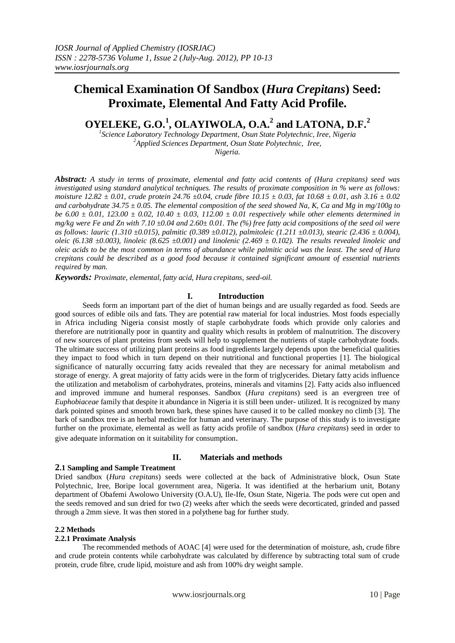# **Chemical Examination Of Sandbox (***Hura Crepitans***) Seed: Proximate, Elemental And Fatty Acid Profile.**

**OYELEKE, G.O.<sup>1</sup> , OLAYIWOLA, O.A.<sup>2</sup> and LATONA, D.F.<sup>2</sup>**

*1 Science Laboratory Technology Department, Osun State Polytechnic, Iree, Nigeria <sup>2</sup>Applied Sciences Department, Osun State Polytechnic, Iree, Nigeria.*

*Abstract: A study in terms of proximate, elemental and fatty acid contents of (Hura crepitans) seed was investigated using standard analytical techniques. The results of proximate composition in % were as follows: moisture 12.82 ± 0.01, crude protein 24.76 ±0.04, crude fibre 10.15 ± 0.03, fat 10.68 ± 0.01, ash 3.16 ± 0.02 and carbohydrate 34.75 ± 0.05. The elemental composition of the seed showed Na, K, Ca and Mg in mg/100g to be 6.00 ± 0.01, 123.00 ± 0.02, 10.40 ± 0.03, 112.00 ± 0.01 respectively while other elements determined in mg/kg were Fe and Zn with 7.10 ±0.04 and 2.60± 0.01. The (%) free fatty acid compositions of the seed oil were as follows: lauric (1.310 ±0.015), palmitic (0.389 ±0.012), palmitoleic (1.211 ±0.013), stearic (2.436 ± 0.004), oleic* (6.138 ±0.003), linoleic (8.625 ±0.001) and linolenic (2.469 ± 0.102). The results revealed linoleic and *oleic acids to be the most common in terms of abundance while palmitic acid was the least. The seed of Hura crepitans could be described as a good food because it contained significant amount of essential nutrients required by man.*

*Keywords: Proximate, elemental, fatty acid, Hura crepitans, seed-oil.*

#### **I. Introduction**

Seeds form an important part of the diet of human beings and are usually regarded as food. Seeds are good sources of edible oils and fats. They are potential raw material for local industries. Most foods especially in Africa including Nigeria consist mostly of staple carbohydrate foods which provide only calories and therefore are nutritionally poor in quantity and quality which results in problem of malnutrition. The discovery of new sources of plant proteins from seeds will help to supplement the nutrients of staple carbohydrate foods. The ultimate success of utilizing plant proteins as food ingredients largely depends upon the beneficial qualities they impact to food which in turn depend on their nutritional and functional properties [1]. The biological significance of naturally occurring fatty acids revealed that they are necessary for animal metabolism and storage of energy. A great majority of fatty acids were in the form of triglycerides. Dietary fatty acids influence the utilization and metabolism of carbohydrates, proteins, minerals and vitamins [2]. Fatty acids also influenced and improved immune and humeral responses. Sandbox (*Hura crepitans*) seed is an evergreen tree of *Euphobiaceae* family that despite it abundance in Nigeria it is still been under- utilized. It is recognized by many dark pointed spines and smooth brown bark, these spines have caused it to be called monkey no climb [3]. The bark of sandbox tree is an herbal medicine for human and veterinary. The purpose of this study is to investigate further on the proximate, elemental as well as fatty acids profile of sandbox (*Hura crepitans*) seed in order to give adequate information on it suitability for consumption.

## **2.1 Sampling and Sample Treatment**

### **II. Materials and methods**

Dried sandbox (*Hura crepitans*) seeds were collected at the back of Administrative block, Osun State Polytechnic, Iree, Boripe local government area, Nigeria. It was identified at the herbarium unit, Botany department of Obafemi Awolowo University (O.A.U), Ile-Ife, Osun State, Nigeria. The pods were cut open and the seeds removed and sun dried for two (2) weeks after which the seeds were decorticated, grinded and passed through a 2mm sieve. It was then stored in a polythene bag for further study.

#### **2.2 Methods**

#### **2.2.1 Proximate Analysis**

The recommended methods of AOAC [4] were used for the determination of moisture, ash, crude fibre and crude protein contents while carbohydrate was calculated by difference by subtracting total sum of crude protein, crude fibre, crude lipid, moisture and ash from 100% dry weight sample.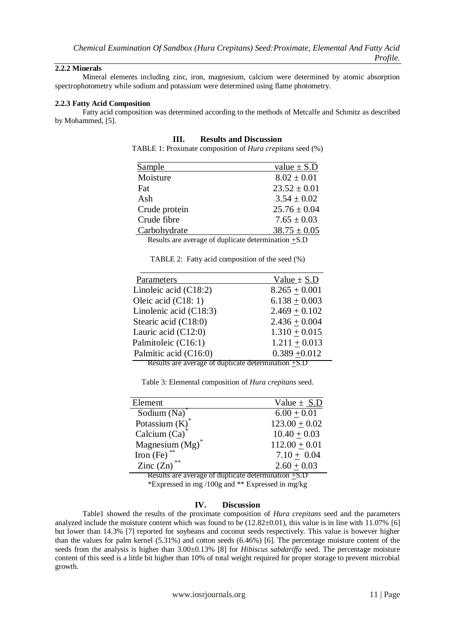## **2.2.2 Minerals**

Mineral elements including zinc, iron, magnesium, calcium were determined by atomic absorption spectrophotometry while sodium and potassium were determined using flame photometry.

#### **2.2.3 Fatty Acid Composition**

Fatty acid composition was determined according to the methods of Metcalfe and Schmitz as described by Mohammed, [5].

#### **III. Results and Discussion**

TABLE 1: Proximate composition of *Hura crepitans* seed (%)

| Sample                                                | value $\pm$ S.D  |
|-------------------------------------------------------|------------------|
| Moisture                                              | $8.02 \pm 0.01$  |
| Fat                                                   | $23.52 \pm 0.01$ |
| Ash                                                   | $3.54 \pm 0.02$  |
| Crude protein                                         | $25.76 \pm 0.04$ |
| Crude fibre                                           | $7.65 \pm 0.03$  |
| Carbohydrate                                          | $38.75 \pm 0.05$ |
| Results are average of duplicate determination $+S.D$ |                  |

TABLE 2: Fatty acid composition of the seed (%)

| Parameters               | Value $\pm$ S.D |
|--------------------------|-----------------|
| Linoleic acid $(C18:2)$  | $8.265 + 0.001$ |
| Oleic acid $(C18:1)$     | $6.138 + 0.003$ |
| Linolenic acid $(C18:3)$ | $2.469 + 0.102$ |
| Stearic acid (C18:0)     | $2.436 + 0.004$ |
| Lauric acid $(C12:0)$    | $1.310 + 0.015$ |
| Palmitoleic (C16:1)      | $1.211 + 0.013$ |
| Palmitic acid (C16:0)    | $0.389 + 0.012$ |

Results are average of duplicate determination +S.D

Table 3: Elemental composition of *Hura crepitans* seed.

| Element                                                                                     | Value $\pm$ S.D |  |
|---------------------------------------------------------------------------------------------|-----------------|--|
| Sodium $(Na)^T$                                                                             | $6.00 + 0.01$   |  |
| Potassium $(K)^*$                                                                           | $123.00 + 0.02$ |  |
| Calcium (Ca)                                                                                | $10.40 + 0.03$  |  |
| Magnesium $(Mg)^*$                                                                          | $112.00 + 0.01$ |  |
| Iron $(Fe)$ <sup>**</sup>                                                                   | $7.10 + 0.04$   |  |
| Zinc $(Zn)$ <sup>**</sup>                                                                   | $2.60 + 0.03$   |  |
| $\mathbf{D}_{\text{out}}$ to are evening at duplicate determination $\mathbf{F} \mathbf{D}$ |                 |  |

Results are average of duplicate determination +S.D \*Expressed in mg /100g and \*\* Expressed in mg/kg

## **IV. Discussion**

Table1 showed the results of the proximate composition of *Hura crepitans* seed and the parameters analyzed include the moisture content which was found to be  $(12.82\pm0.01)$ , this value is in line with 11.07% [6] but lower than 14.3% [7] reported for soybeans and coconut seeds respectively. This value is however higher than the values for palm kernel (5.31%) and cotton seeds (6.46%) [6]. The percentage moisture content of the seeds from the analysis is higher than 3.00±0.13% [8] for *Hibiscus sabdariffa* seed. The percentage moisture content of this seed is a little bit higher than 10% of total weight required for proper storage to prevent microbial growth.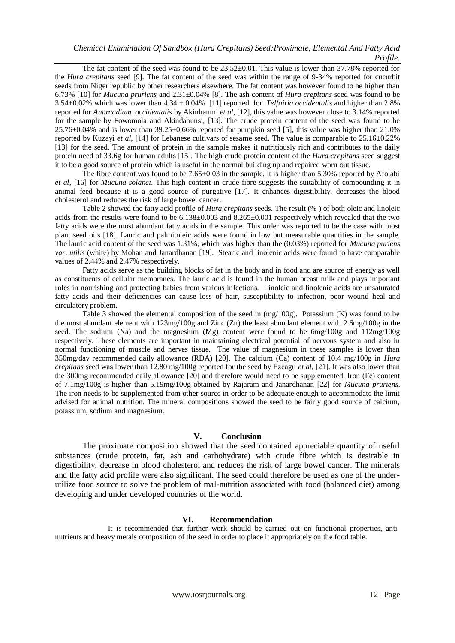## *Chemical Examination Of Sandbox (Hura Crepitans) Seed:Proximate, Elemental And Fatty Acid Profile.*

The fat content of the seed was found to be  $23.52\pm0.01$ . This value is lower than 37.78% reported for the *Hura crepitans* seed [9]. The fat content of the seed was within the range of 9-34% reported for cucurbit seeds from Niger republic by other researchers elsewhere. The fat content was however found to be higher than 6.73% [10] for *Mucuna pruriens* and 2.31±0.04% [8]. The ash content of *Hura crepitans* seed was found to be 3.54±0.02% which was lower than 4.34 ± 0.04% [11] reported for *Telfairia occidentalis* and higher than 2.8% reported for *Anarcadium occidentalis* by Akinhanmi *et al,* [12], this value was however close to 3.14% reported for the sample by Fowomola and Akindahunsi, [13]. The crude protein content of the seed was found to be  $25.76\pm0.04\%$  and is lower than  $39.25\pm0.66\%$  reported for pumpkin seed [5], this value was higher than 21.0% reported by Kuzayi *et al,* [14] for Lebanese cultivars of sesame seed. The value is comparable to 25.16±0.22% [13] for the seed. The amount of protein in the sample makes it nutritiously rich and contributes to the daily protein need of 33.6g for human adults [15]. The high crude protein content of the *Hura crepitans* seed suggest it to be a good source of protein which is useful in the normal building up and repaired worn out tissue.

The fibre content was found to be  $7.65\pm0.03$  in the sample. It is higher than 5.30% reported by Afolabi *et al,* [16] for *Mucuna solanei*. This high content in crude fibre suggests the suitability of compounding it in animal feed because it is a good source of purgative [17]. It enhances digestibility, decreases the blood cholesterol and reduces the risk of large bowel cancer.

Table 2 showed the fatty acid profile of *Hura crepitans* seeds. The result (% ) of both oleic and linoleic acids from the results were found to be 6.138±0.003 and 8.265±0.001 respectively which revealed that the two fatty acids were the most abundant fatty acids in the sample. This order was reported to be the case with most plant seed oils [18]. Lauric and palmitoleic acids were found in low but measurable quantities in the sample. The lauric acid content of the seed was 1.31%, which was higher than the (0.03%) reported for *Mucuna puriens var*. *utilis* (white) by Mohan and Janardhanan [19]. Stearic and linolenic acids were found to have comparable values of 2.44% and 2.47% respectively.

Fatty acids serve as the building blocks of fat in the body and in food and are source of energy as well as constituents of cellular membranes. The lauric acid is found in the human breast milk and plays important roles in nourishing and protecting babies from various infections. Linoleic and linolenic acids are unsaturated fatty acids and their deficiencies can cause loss of hair, susceptibility to infection, poor wound heal and circulatory problem.

Table 3 showed the elemental composition of the seed in (mg/100g). Potassium (K) was found to be the most abundant element with 123mg/100g and Zinc (Zn) the least abundant element with 2.6mg/100g in the seed. The sodium (Na) and the magnesium (Mg) content were found to be  $6mg/100g$  and  $112mg/100g$ respectively. These elements are important in maintaining electrical potential of nervous system and also in normal functioning of muscle and nerves tissue. The value of magnesium in these samples is lower than 350mg/day recommended daily allowance (RDA) [20]. The calcium (Ca) content of 10.4 mg/100g in *Hura crepitans* seed was lower than 12.80 mg/100g reported for the seed by Ezeagu *et al,* [21]. It was also lower than the 300mg recommended daily allowance [20] and therefore would need to be supplemented. Iron (Fe) content of 7.1mg/100g is higher than 5.19mg/100g obtained by Rajaram and Janardhanan [22] for *Mucuna pruriens*. The iron needs to be supplemented from other source in order to be adequate enough to accommodate the limit advised for animal nutrition. The mineral compositions showed the seed to be fairly good source of calcium, potassium, sodium and magnesium.

## **V. Conclusion**

The proximate composition showed that the seed contained appreciable quantity of useful substances (crude protein, fat, ash and carbohydrate) with crude fibre which is desirable in digestibility, decrease in blood cholesterol and reduces the risk of large bowel cancer. The minerals and the fatty acid profile were also significant. The seed could therefore be used as one of the underutilize food source to solve the problem of mal-nutrition associated with food (balanced diet) among developing and under developed countries of the world.

## **VI. Recommendation**

It is recommended that further work should be carried out on functional properties, antinutrients and heavy metals composition of the seed in order to place it appropriately on the food table.